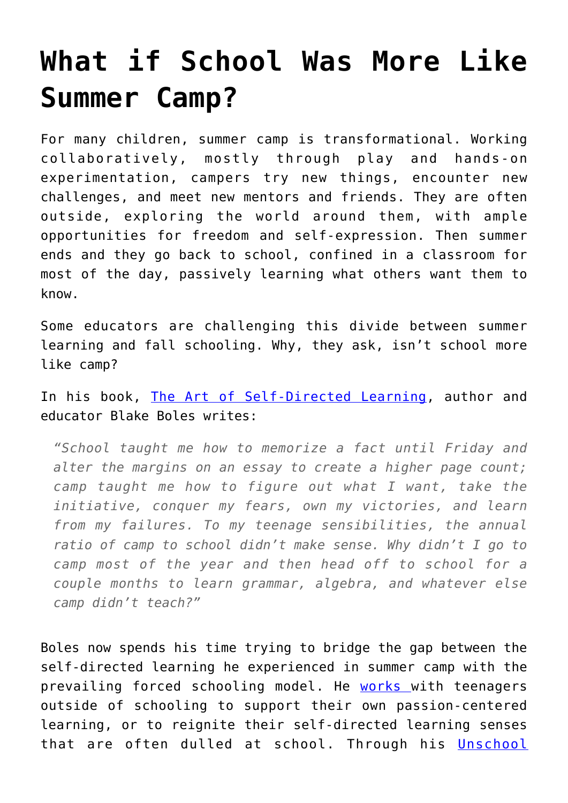## **[What if School Was More Like](https://intellectualtakeout.org/2017/08/what-if-school-was-more-like-summer-camp/) [Summer Camp?](https://intellectualtakeout.org/2017/08/what-if-school-was-more-like-summer-camp/)**

For many children, summer camp is transformational. Working collaboratively, mostly through play and hands-on experimentation, campers try new things, encounter new challenges, and meet new mentors and friends. They are often outside, exploring the world around them, with ample opportunities for freedom and self-expression. Then summer ends and they go back to school, confined in a classroom for most of the day, passively learning what others want them to know.

Some educators are challenging this divide between summer learning and fall schooling. Why, they ask, isn't school more like camp?

In his book, [The Art of Self-Directed Learning](http://amzn.to/2wbq9Sf), author and educator Blake Boles writes:

*"School taught me how to memorize a fact until Friday and alter the margins on an essay to create a higher page count; camp taught me how to figure out what I want, take the initiative, conquer my fears, own my victories, and learn from my failures. To my teenage sensibilities, the annual ratio of camp to school didn't make sense. Why didn't I go to camp most of the year and then head off to school for a couple months to learn grammar, algebra, and whatever else camp didn't teach?"*

Boles now spends his time trying to bridge the gap between the self-directed learning he experienced in summer camp with the prevailing forced schooling model. He [works](http://www.blakeboles.com/) with teenagers outside of schooling to support their own passion-centered learning, or to reignite their self-directed learning senses that are often dulled at school. Through his [Unschool](http://www.unschooladventures.com/)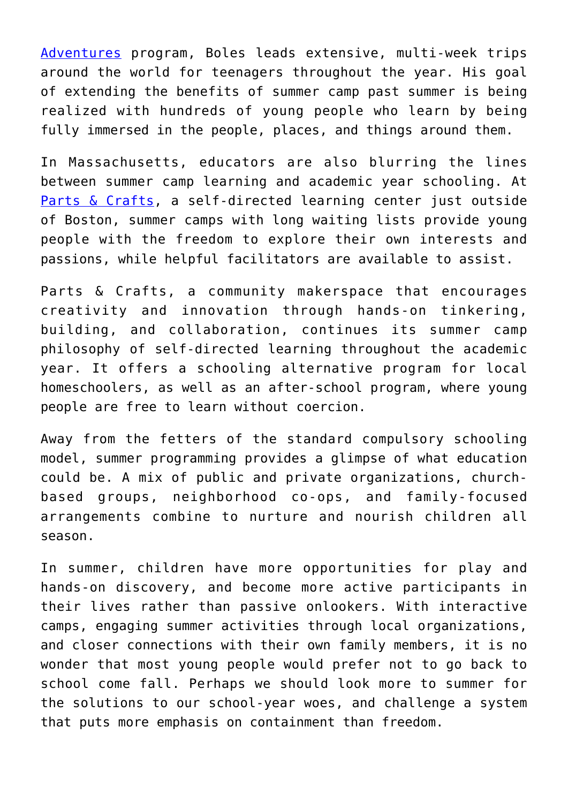[Adventures](http://www.unschooladventures.com/) program, Boles leads extensive, multi-week trips around the world for teenagers throughout the year. His goal of extending the benefits of summer camp past summer is being realized with hundreds of young people who learn by being fully immersed in the people, places, and things around them.

In Massachusetts, educators are also blurring the lines between summer camp learning and academic year schooling. At [Parts & Crafts,](https://www.partsandcrafts.org/) a self-directed learning center just outside of Boston, summer camps with long waiting lists provide young people with the freedom to explore their own interests and passions, while helpful facilitators are available to assist.

Parts & Crafts, a community makerspace that encourages creativity and innovation through hands-on tinkering, building, and collaboration, continues its summer camp philosophy of self-directed learning throughout the academic year. It offers a schooling alternative program for local homeschoolers, as well as an after-school program, where young people are free to learn without coercion.

Away from the fetters of the standard compulsory schooling model, summer programming provides a glimpse of what education could be. A mix of public and private organizations, churchbased groups, neighborhood co-ops, and family-focused arrangements combine to nurture and nourish children all season.

In summer, children have more opportunities for play and hands-on discovery, and become more active participants in their lives rather than passive onlookers. With interactive camps, engaging summer activities through local organizations, and closer connections with their own family members, it is no wonder that most young people would prefer not to go back to school come fall. Perhaps we should look more to summer for the solutions to our school-year woes, and challenge a system that puts more emphasis on containment than freedom.